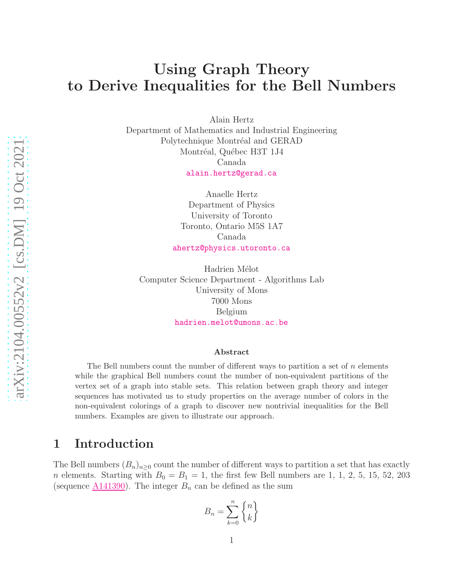# Using Graph Theory to Derive Inequalities for the Bell Numbers

Alain Hertz

Department of Mathematics and Industrial Engineering Polytechnique Montréal and GERAD Montréal, Québec H3T 1J4 Canada [alain.hertz@gerad.ca](mailto:alain.hertz@gerad.ca)

> Anaelle Hertz Department of Physics University of Toronto Toronto, Ontario M5S 1A7 Canada [ahertz@physics.utoronto.ca](mailto:ahertz@physics.utoronto.ca)

Hadrien Mélot Computer Science Department - Algorithms Lab University of Mons 7000 Mons Belgium [hadrien.melot@umons.ac.be](mailto:hadrien.melot@umons.ac.be)

#### Abstract

The Bell numbers count the number of different ways to partition a set of  $n$  elements while the graphical Bell numbers count the number of non-equivalent partitions of the vertex set of a graph into stable sets. This relation between graph theory and integer sequences has motivated us to study properties on the average number of colors in the non-equivalent colorings of a graph to discover new nontrivial inequalities for the Bell numbers. Examples are given to illustrate our approach.

# 1 Introduction

The Bell numbers  $(B_n)_{n>0}$  count the number of different ways to partition a set that has exactly *n* elements. Starting with  $B_0 = B_1 = 1$ , the first few Bell numbers are 1, 1, 2, 5, 15, 52, 203 (sequence  $\underline{A141390}$ ). The integer  $B_n$  can be defined as the sum

$$
B_n = \sum_{k=0}^n \begin{Bmatrix} n \\ k \end{Bmatrix}
$$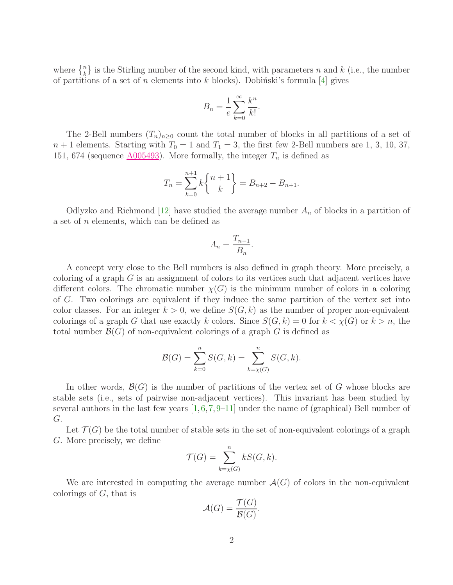where  $\{n\}\)$  is the Stirling number of the second kind, with parameters n and k (i.e., the number of partitions of a set of n elements into k blocks). Dobinski's formula [\[4\]](#page-16-0) gives

$$
B_n = \frac{1}{e} \sum_{k=0}^{\infty} \frac{k^n}{k!}.
$$

The 2-Bell numbers  $(T_n)_{n>0}$  count the total number of blocks in all partitions of a set of  $n+1$  elements. Starting with  $T_0 = 1$  and  $T_1 = 3$ , the first few 2-Bell numbers are 1, 3, 10, 37, 151, 674 (sequence  $\underline{\text{A}005493}$ ). More formally, the integer  $T_n$  is defined as

$$
T_n = \sum_{k=0}^{n+1} k \binom{n+1}{k} = B_{n+2} - B_{n+1}.
$$

Odlyzko and Richmond [\[12\]](#page-17-0) have studied the average number  $A_n$  of blocks in a partition of a set of n elements, which can be defined as

$$
A_n = \frac{T_{n-1}}{B_n}
$$

.

A concept very close to the Bell numbers is also defined in graph theory. More precisely, a coloring of a graph  $G$  is an assignment of colors to its vertices such that adjacent vertices have different colors. The chromatic number  $\chi(G)$  is the minimum number of colors in a coloring of G. Two colorings are equivalent if they induce the same partition of the vertex set into color classes. For an integer  $k > 0$ , we define  $S(G, k)$  as the number of proper non-equivalent colorings of a graph G that use exactly k colors. Since  $S(G, k) = 0$  for  $k \lt \chi(G)$  or  $k > n$ , the total number  $\mathcal{B}(G)$  of non-equivalent colorings of a graph G is defined as

$$
\mathcal{B}(G) = \sum_{k=0}^{n} S(G, k) = \sum_{k=\chi(G)}^{n} S(G, k).
$$

In other words,  $\mathcal{B}(G)$  is the number of partitions of the vertex set of G whose blocks are stable sets (i.e., sets of pairwise non-adjacent vertices). This invariant has been studied by several authors in the last few years  $[1,6,7,9-11]$  $[1,6,7,9-11]$  $[1,6,7,9-11]$  $[1,6,7,9-11]$  $[1,6,7,9-11]$  under the name of (graphical) Bell number of G.

Let  $\mathcal{T}(G)$  be the total number of stable sets in the set of non-equivalent colorings of a graph G. More precisely, we define

$$
\mathcal{T}(G) = \sum_{k=\chi(G)}^{n} kS(G, k).
$$

We are interested in computing the average number  $\mathcal{A}(G)$  of colors in the non-equivalent colorings of  $G$ , that is

$$
\mathcal{A}(G) = \frac{\mathcal{T}(G)}{\mathcal{B}(G)}.
$$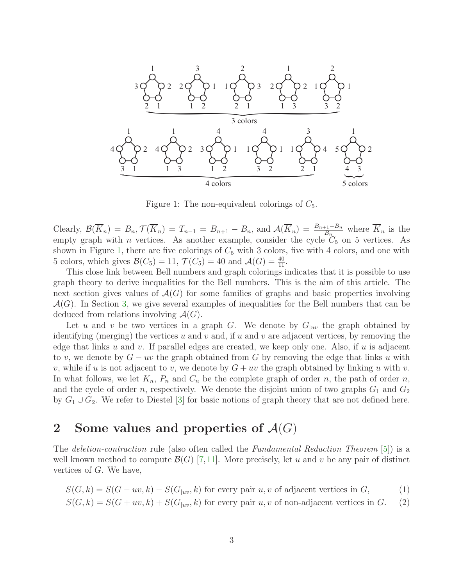

<span id="page-2-0"></span>Figure 1: The non-equivalent colorings of  $C_5$ .

Clearly,  $\mathcal{B}(\overline{K}_n) = B_n$ ,  $\mathcal{T}(\overline{K}_n) = T_{n-1} = B_{n+1} - B_n$ , and  $\mathcal{A}(\overline{K}_n) = \frac{B_{n+1} - B_n}{B_n}$  where  $\overline{K}_n$  is the empty graph with *n* vertices. As another example, consider the cycle  $C_5$  on 5 vertices. As shown in Figure [1,](#page-2-0) there are five colorings of  $C_5$  with 3 colors, five with 4 colors, and one with 5 colors, which gives  $\mathcal{B}(C_5) = 11$ ,  $\mathcal{T}(C_5) = 40$  and  $\mathcal{A}(G) = \frac{40}{11}$ .

This close link between Bell numbers and graph colorings indicates that it is possible to use graph theory to derive inequalities for the Bell numbers. This is the aim of this article. The next section gives values of  $\mathcal{A}(G)$  for some families of graphs and basic properties involving  $\mathcal{A}(G)$ . In Section [3,](#page-6-0) we give several examples of inequalities for the Bell numbers that can be deduced from relations involving  $\mathcal{A}(G)$ .

Let u and v be two vertices in a graph G. We denote by  $G_{|uv}$  the graph obtained by identifying (merging) the vertices u and v and, if u and v are adjacent vertices, by removing the edge that links u and v. If parallel edges are created, we keep only one. Also, if u is adjacent to v, we denote by  $G - uv$  the graph obtained from G by removing the edge that links u with v, while if u is not adjacent to v, we denote by  $G + uv$  the graph obtained by linking u with v. In what follows, we let  $K_n$ ,  $P_n$  and  $C_n$  be the complete graph of order n, the path of order n, and the cycle of order n, respectively. We denote the disjoint union of two graphs  $G_1$  and  $G_2$ by  $G_1 \cup G_2$ . We refer to Diestel [\[3\]](#page-16-3) for basic notions of graph theory that are not defined here.

# 2 Some values and properties of  $\mathcal{A}(G)$

The *deletion-contraction* rule (also often called the *Fundamental Reduction Theorem* [\[5\]](#page-16-4)) is a well known method to compute  $\mathcal{B}(G)$  [\[7,](#page-17-1)[11\]](#page-17-3). More precisely, let u and v be any pair of distinct vertices of G. We have,

$$
S(G,k) = S(G - uv, k) - S(G_{|uv}, k)
$$
 for every pair  $u, v$  of adjacent vertices in  $G$ , (1)  

$$
S(G,k) = S(G + uv, k) + S(G_{|uv}, k)
$$
 for every pair  $u, v$  of non-adjacent vertices in  $G$ . (2)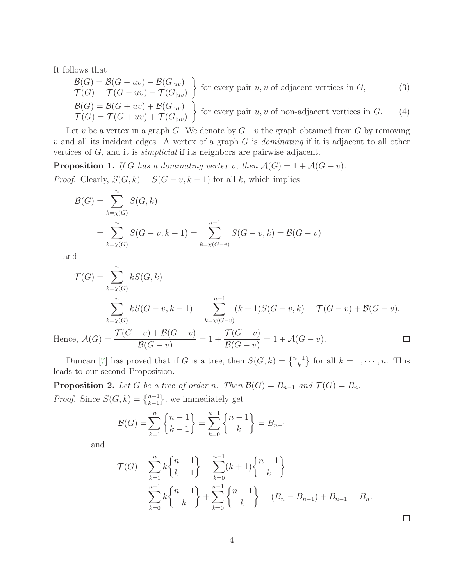It follows that

<span id="page-3-2"></span>
$$
\mathcal{B}(G) = \mathcal{B}(G - uv) - \mathcal{B}(G_{|uv})
$$
\n
$$
\mathcal{T}(G) = \mathcal{T}(G - uv) - \mathcal{T}(G_{|uv})
$$
\nfor every pair  $u, v$  of adjacent vertices in  $G$ , (3)

<span id="page-3-1"></span>
$$
\mathcal{B}(G) = \mathcal{B}(G + uv) + \mathcal{B}(G_{|uv})
$$
\n
$$
\mathcal{T}(G) = \mathcal{T}(G + uv) + \mathcal{T}(G_{|uv})
$$
\nfor every pair  $u, v$  of non-adjacent vertices in  $G$ . (4)

Let v be a vertex in a graph G. We denote by  $G-v$  the graph obtained from G by removing v and all its incident edges. A vertex of a graph G is *dominating* if it is adjacent to all other vertices of G, and it is *simplicial* if its neighbors are pairwise adjacent.

**Proposition 1.** *If* G *has a dominating vertex v, then*  $\mathcal{A}(G) = 1 + \mathcal{A}(G - v)$ *. Proof.* Clearly,  $S(G, k) = S(G - v, k - 1)$  for all k, which implies

$$
\mathcal{B}(G) = \sum_{k=\chi(G)}^{n} S(G, k)
$$
  
= 
$$
\sum_{k=\chi(G)}^{n} S(G - v, k - 1) = \sum_{k=\chi(G - v)}^{n-1} S(G - v, k) = \mathcal{B}(G - v)
$$

and

$$
\mathcal{T}(G) = \sum_{k=\chi(G)}^{n} kS(G, k)
$$
  
= 
$$
\sum_{k=\chi(G)}^{n} kS(G - v, k - 1) = \sum_{k=\chi(G - v)}^{n-1} (k + 1)S(G - v, k) = \mathcal{T}(G - v) + \mathcal{B}(G - v).
$$
  

$$
\mathcal{T}(G - v) + \mathcal{B}(G - v)
$$

Hence,  $\mathcal{A}(G) = \frac{\mathcal{T}(G-v) + \mathcal{B}(G-v)}{P(G-v)}$  $\mathcal{T}(G-v)$  $= 1 +$  $= 1 + \mathcal{A}(G - v).$  $\Box$  $\mathcal{B}(G-v)$  $\mathcal{B}(G-v)$ 

Duncan [\[7\]](#page-17-1) has proved that if G is a tree, then  $S(G, k) = \{n-1 \atop k\}$  for all  $k = 1, \dots, n$ . This leads to our second Proposition.

<span id="page-3-0"></span>**Proposition 2.** *Let* G *be a tree of order n*. *Then*  $\mathcal{B}(G) = B_{n-1}$  *and*  $\mathcal{T}(G) = B_n$ *. Proof.* Since  $S(G, k) = \{n-1 \atop k-1}$ , we immediately get

$$
\mathcal{B}(G) = \sum_{k=1}^{n} \begin{Bmatrix} n-1 \\ k-1 \end{Bmatrix} = \sum_{k=0}^{n-1} \begin{Bmatrix} n-1 \\ k \end{Bmatrix} = B_{n-1}
$$

and

$$
\mathcal{T}(G) = \sum_{k=1}^{n} k \begin{Bmatrix} n-1 \\ k-1 \end{Bmatrix} = \sum_{k=0}^{n-1} (k+1) \begin{Bmatrix} n-1 \\ k \end{Bmatrix}
$$
  
= 
$$
\sum_{k=0}^{n-1} k \begin{Bmatrix} n-1 \\ k \end{Bmatrix} + \sum_{k=0}^{n-1} \begin{Bmatrix} n-1 \\ k \end{Bmatrix} = (B_n - B_{n-1}) + B_{n-1} = B_n.
$$

 $\Box$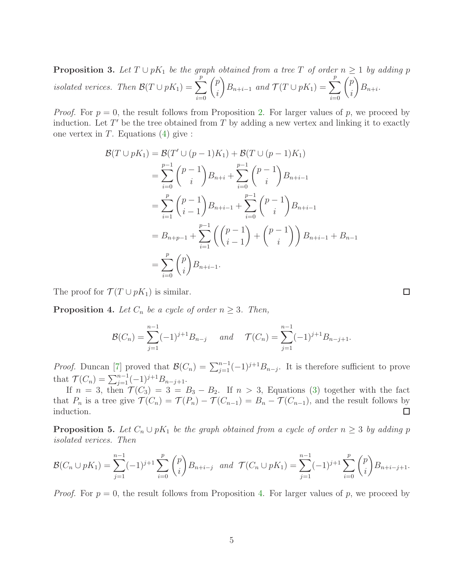<span id="page-4-1"></span>**Proposition 3.** Let  $T \cup pK_1$  be the graph obtained from a tree T of order  $n \geq 1$  by adding p *isolated verices.* Then  $\mathcal{B}(T \cup pK_1) = \sum$ p  $i=0$  $\sqrt{p}$ i  $\bigg\} B_{n+i-1}$  *and*  $\mathcal{T}(T \cup pK_1) = \sum_{i=1}^{p}$ p  $i=0$  $\sqrt{p}$ i  $\setminus$  $B_{n+i}$ .

*Proof.* For  $p = 0$ , the result follows from Proposition [2.](#page-3-0) For larger values of p, we proceed by induction. Let  $T'$  be the tree obtained from  $T$  by adding a new vertex and linking it to exactly one vertex in  $T$ . Equations [\(4\)](#page-3-1) give :

$$
\mathcal{B}(T \cup pK_1) = \mathcal{B}(T' \cup (p-1)K_1) + \mathcal{B}(T \cup (p-1)K_1)
$$
  
\n
$$
= \sum_{i=0}^{p-1} {p-1 \choose i} B_{n+i} + \sum_{i=0}^{p-1} {p-1 \choose i} B_{n+i-1}
$$
  
\n
$$
= \sum_{i=1}^p {p-1 \choose i-1} B_{n+i-1} + \sum_{i=0}^{p-1} {p-1 \choose i} B_{n+i-1}
$$
  
\n
$$
= B_{n+p-1} + \sum_{i=1}^{p-1} \left( {p-1 \choose i-1} + {p-1 \choose i} \right) B_{n+i-1} + B_{n-1}
$$
  
\n
$$
= \sum_{i=0}^p {p \choose i} B_{n+i-1}.
$$

The proof for  $\mathcal{T}(T \cup pK_1)$  is similar.

<span id="page-4-0"></span>**Proposition 4.** Let  $C_n$  be a cycle of order  $n \geq 3$ . Then,

$$
\mathcal{B}(C_n) = \sum_{j=1}^{n-1} (-1)^{j+1} B_{n-j} \quad \text{and} \quad \mathcal{T}(C_n) = \sum_{j=1}^{n-1} (-1)^{j+1} B_{n-j+1}.
$$

*Proof.* Duncan [\[7\]](#page-17-1) proved that  $\mathcal{B}(C_n) = \sum_{j=1}^{n-1} (-1)^{j+1} B_{n-j}$ . It is therefore sufficient to prove that  $\mathcal{T}(C_n) = \sum_{j=1}^{n-1} (-1)^{j+1} B_{n-j+1}.$ 

If  $n = 3$ , then  $\mathcal{T}(C_3) = 3 = B_3 - B_2$ . If  $n > 3$ , Equations [\(3\)](#page-3-2) together with the fact that  $P_n$  is a tree give  $\mathcal{T}(C_n) = \mathcal{T}(P_n) - \mathcal{T}(C_{n-1}) = B_n - \mathcal{T}(C_{n-1})$ , and the result follows by induction.  $\Box$ 

<span id="page-4-2"></span>**Proposition 5.** Let  $C_n \cup pK_1$  be the graph obtained from a cycle of order  $n \geq 3$  by adding p *isolated verices. Then*

$$
\mathcal{B}(C_n \cup pK_1) = \sum_{j=1}^{n-1} (-1)^{j+1} \sum_{i=0}^p \binom{p}{i} B_{n+i-j} \text{ and } \mathcal{T}(C_n \cup pK_1) = \sum_{j=1}^{n-1} (-1)^{j+1} \sum_{i=0}^p \binom{p}{i} B_{n+i-j+1}.
$$

*Proof.* For  $p = 0$ , the result follows from Proposition [4.](#page-4-0) For larger values of p, we proceed by

 $\Box$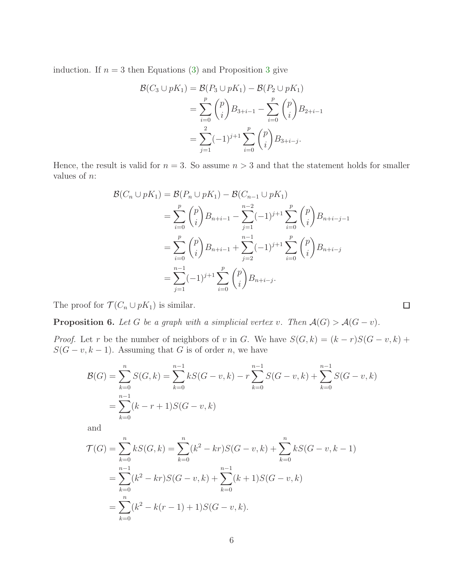induction. If  $n = 3$  $n = 3$  then Equations [\(3\)](#page-3-2) and Proposition 3 give

$$
\mathcal{B}(C_3 \cup pK_1) = \mathcal{B}(P_3 \cup pK_1) - \mathcal{B}(P_2 \cup pK_1)
$$
  
= 
$$
\sum_{i=0}^p {p \choose i} B_{3+i-1} - \sum_{i=0}^p {p \choose i} B_{2+i-1}
$$
  
= 
$$
\sum_{j=1}^2 (-1)^{j+1} \sum_{i=0}^p {p \choose i} B_{3+i-j}.
$$

Hence, the result is valid for  $n = 3$ . So assume  $n > 3$  and that the statement holds for smaller values of  $n$ :

$$
\mathcal{B}(C_n \cup pK_1) = \mathcal{B}(P_n \cup pK_1) - \mathcal{B}(C_{n-1} \cup pK_1)
$$
  
= 
$$
\sum_{i=0}^p {p \choose i} B_{n+i-1} - \sum_{j=1}^{n-2} (-1)^{j+1} \sum_{i=0}^p {p \choose i} B_{n+i-j-1}
$$
  
= 
$$
\sum_{i=0}^p {p \choose i} B_{n+i-1} + \sum_{j=2}^{n-1} (-1)^{j+1} \sum_{i=0}^p {p \choose i} B_{n+i-j}
$$
  
= 
$$
\sum_{j=1}^{n-1} (-1)^{j+1} \sum_{i=0}^p {p \choose i} B_{n+i-j}.
$$

The proof for  $\mathcal{T}(C_n \cup pK_1)$  is similar.

<span id="page-5-0"></span>**Proposition 6.** *Let* G *be a graph with a simplicial vertex* v. Then  $\mathcal{A}(G) > \mathcal{A}(G - v)$ *.* 

*Proof.* Let r be the number of neighbors of v in G. We have  $S(G, k) = (k - r)S(G - v, k)$  +  $S(G - v, k - 1)$ . Assuming that G is of order n, we have

 $\Box$ 

$$
\mathcal{B}(G) = \sum_{k=0}^{n} S(G, k) = \sum_{k=0}^{n-1} kS(G - v, k) - r \sum_{k=0}^{n-1} S(G - v, k) + \sum_{k=0}^{n-1} S(G - v, k)
$$
  
= 
$$
\sum_{k=0}^{n-1} (k - r + 1)S(G - v, k)
$$

and

$$
\mathcal{T}(G) = \sum_{k=0}^{n} kS(G, k) = \sum_{k=0}^{n} (k^2 - kr)S(G - v, k) + \sum_{k=0}^{n} kS(G - v, k - 1)
$$
  
= 
$$
\sum_{k=0}^{n-1} (k^2 - kr)S(G - v, k) + \sum_{k=0}^{n-1} (k+1)S(G - v, k)
$$
  
= 
$$
\sum_{k=0}^{n} (k^2 - k(r - 1) + 1)S(G - v, k).
$$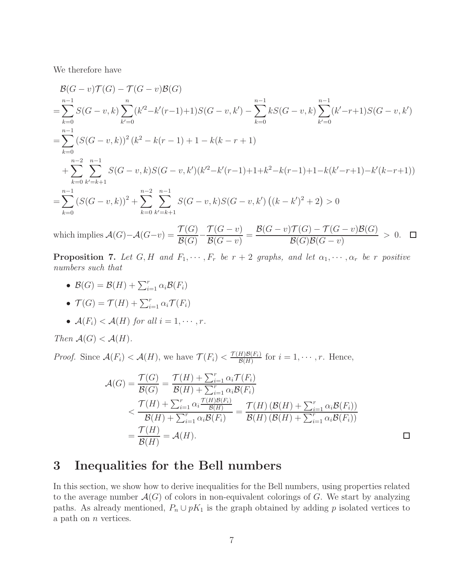We therefore have

$$
\mathcal{B}(G - v)\mathcal{T}(G) - \mathcal{T}(G - v)\mathcal{B}(G)
$$
\n
$$
= \sum_{k=0}^{n-1} S(G - v, k) \sum_{k'=0}^{n} (k'^2 - k'(r-1) + 1)S(G - v, k') - \sum_{k=0}^{n-1} kS(G - v, k) \sum_{k'=0}^{n-1} (k' - r + 1)S(G - v, k')
$$
\n
$$
= \sum_{k=0}^{n-1} (S(G - v, k))^2 (k^2 - k(r - 1) + 1 - k(k - r + 1)
$$
\n
$$
+ \sum_{k=0}^{n-2} \sum_{k'=k+1}^{n-1} S(G - v, k)S(G - v, k')(k'^2 - k'(r-1) + 1 + k^2 - k(r-1) + 1 - k(k' - r + 1) - k'(k - r + 1))
$$
\n
$$
= \sum_{k=0}^{n-1} (S(G - v, k))^2 + \sum_{k=0}^{n-2} \sum_{k'=k+1}^{n-1} S(G - v, k)S(G - v, k') ((k - k')^2 + 2) > 0
$$
\n
$$
\mathcal{T}(G) - \mathcal{T}(G) - \mathcal{T}(G) - \mathcal{T}(G) - \mathcal{T}(G) - \mathcal{T}(G) - \mathcal{T}(G) - \mathcal{T}(G) - \mathcal{T}(G) - \mathcal{T}(G) - \mathcal{T}(G) - \mathcal{T}(G) - \mathcal{T}(G) - \mathcal{T}(G) - \mathcal{T}(G) - \mathcal{T}(G) - \mathcal{T}(G) - \mathcal{T}(G) - \mathcal{T}(G) - \mathcal{T}(G) - \mathcal{T}(G) - \mathcal{T}(G) - \mathcal{T}(G) - \mathcal{T}(G) - \mathcal{T}(G) - \mathcal{T}(G) - \mathcal{T}(G) - \mathcal{T}(G) - \mathcal{T}(G) - \mathcal{T}(G) - \mathcal{T}(G) - \mathcal{T}(G) - \mathcal{T}(G) - \mathcal{T}(G) - \mathcal{T}(G) - \mathcal{T}(G) - \mathcal{T}(G) - \mathcal{T}(G) - \mathcal{T}(G) - \mathcal{T}(G) - \mathcal{T}(G) - \mathcal{T}(G) - \mathcal{T}(G) - \mathcal{T}(G) - \mathcal{T}(G) - \mathcal{T}(G) - \mathcal
$$

which implies  $\mathcal{A}(G)-\mathcal{A}(G-v)=\frac{\mathcal{T}(G)}{\mathcal{P}(G)}$  $\mathcal{T}(G-v)$  $\mathcal{B}(G-v)\mathcal{T}(G)-\mathcal{T}(G-v)\mathcal{B}(G)$ − =  $> 0.$  $\Box$  $\mathcal{B}(G)$  $\mathcal{B}(G - v)$  $\mathcal B(G)\mathcal B(G-v)$ 

<span id="page-6-1"></span>**Proposition 7.** Let  $G, H$  and  $F_1, \dots, F_r$  be  $r + 2$  graphs, and let  $\alpha_1, \dots, \alpha_r$  be r positive *numbers such that*

- $\mathcal{B}(G) = \mathcal{B}(H) + \sum_{i=1}^r \alpha_i \mathcal{B}(F_i)$
- $\mathcal{T}(G) = \mathcal{T}(H) + \sum_{i=1}^r \alpha_i \mathcal{T}(F_i)$
- $A(F_i) < A(H)$  for all  $i = 1, \dots, r$ .

*Then*  $\mathcal{A}(G) < \mathcal{A}(H)$ *.* 

*Proof.* Since  $\mathcal{A}(F_i) < \mathcal{A}(H)$ , we have  $\mathcal{T}(F_i) < \frac{\mathcal{T}(H)\mathcal{B}(F_i)}{\mathcal{B}(H)}$  $\frac{H}{\mathcal{B}(H)}$  for  $i = 1, \cdots, r$ . Hence,

$$
\mathcal{A}(G) = \frac{\mathcal{T}(G)}{\mathcal{B}(G)} = \frac{\mathcal{T}(H) + \sum_{i=1}^{r} \alpha_i \mathcal{T}(F_i)}{\mathcal{B}(H) + \sum_{i=1}^{r} \alpha_i \mathcal{B}(F_i)}
$$
\n
$$
< \frac{\mathcal{T}(H) + \sum_{i=1}^{r} \alpha_i \frac{\mathcal{T}(H)\mathcal{B}(F_i)}{\mathcal{B}(H) + \sum_{i=1}^{r} \alpha_i \mathcal{B}(F_i)}}{\mathcal{B}(H) + \sum_{i=1}^{r} \alpha_i \mathcal{B}(F_i)} = \frac{\mathcal{T}(H) \left(\mathcal{B}(H) + \sum_{i=1}^{r} \alpha_i \mathcal{B}(F_i)\right)}{\mathcal{B}(H) \left(\mathcal{B}(H) + \sum_{i=1}^{r} \alpha_i \mathcal{B}(F_i)\right)}
$$
\n
$$
= \frac{\mathcal{T}(H)}{\mathcal{B}(H)} = \mathcal{A}(H). \square
$$

# <span id="page-6-0"></span>3 Inequalities for the Bell numbers

In this section, we show how to derive inequalities for the Bell numbers, using properties related to the average number  $\mathcal{A}(G)$  of colors in non-equivalent colorings of G. We start by analyzing paths. As already mentioned,  $P_n \cup pK_1$  is the graph obtained by adding p isolated vertices to a path on *n* vertices.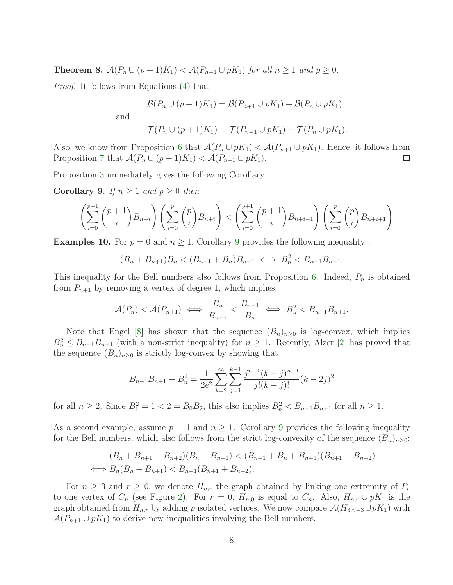**Theorem 8.**  $\mathcal{A}(P_n \cup (p+1)K_1) < \mathcal{A}(P_{n+1} \cup pK_1)$  *for all*  $n \geq 1$  *and*  $p \geq 0$ *.* 

*Proof.* It follows from Equations [\(4\)](#page-3-1) that

$$
\mathcal{B}(P_n \cup (p+1)K_1) = \mathcal{B}(P_{n+1} \cup pK_1) + \mathcal{B}(P_n \cup pK_1)
$$

and

$$
\mathcal{T}(P_n \cup (p+1)K_1) = \mathcal{T}(P_{n+1} \cup pK_1) + \mathcal{T}(P_n \cup pK_1).
$$

Also, we know from Proposition [6](#page-5-0) that  $\mathcal{A}(P_n \cup pK_1) < \mathcal{A}(P_{n+1} \cup pK_1)$ . Hence, it follows from Proposition [7](#page-6-1) that  $\mathcal{A}(P_n \cup (p+1)K_1) < \mathcal{A}(P_{n+1} \cup pK_1)$ .  $\Box$ 

Proposition [3](#page-4-1) immediately gives the following Corollary.

<span id="page-7-0"></span>Corollary 9. If  $n \geq 1$  and  $p \geq 0$  then

$$
\left(\sum_{i=0}^{p+1} {p+1 \choose i} B_{n+i}\right)\left(\sum_{i=0}^p {p \choose i} B_{n+i}\right) < \left(\sum_{i=0}^{p+1} {p+1 \choose i} B_{n+i-1}\right)\left(\sum_{i=0}^p {p \choose i} B_{n+i+1}\right).
$$

**Examples 10.** For  $p = 0$  and  $n \geq 1$ , Corollary [9](#page-7-0) provides the following inequality :

$$
(B_n + B_{n+1})B_n < (B_{n-1} + B_n)B_{n+1} \iff B_n^2 < B_{n-1}B_{n+1}.
$$

This inequality for the Bell numbers also follows from Proposition [6.](#page-5-0) Indeed,  $P_n$  is obtained from  $P_{n+1}$  by removing a vertex of degree 1, which implies

$$
\mathcal{A}(P_n) < \mathcal{A}(P_{n+1}) \iff \frac{B_n}{B_{n-1}} < \frac{B_{n+1}}{B_n} \iff B_n^2 < B_{n-1}B_{n+1}.
$$

Note that Engel [\[8\]](#page-17-4) has shown that the sequence  $(B_n)_{n\geq 0}$  is log-convex, which implies  $B_n^2 \leq B_{n-1}B_{n+1}$  (with a non-strict inequality) for  $n \geq 1$ . Recently, Alzer [\[2\]](#page-16-5) has proved that the sequence  $(B_n)_{n\geq 0}$  is strictly log-convex by showing that

$$
B_{n-1}B_{n+1} - B_n^2 = \frac{1}{2e^2} \sum_{k=2}^{\infty} \sum_{j=1}^{k-1} \frac{j^{n-1}(k-j)^{n-1}}{j!(k-j)!} (k-2j)^2
$$

for all  $n \ge 2$ . Since  $B_1^2 = 1 < 2 = B_0 B_2$ , this also implies  $B_n^2 < B_{n-1} B_{n+1}$  for all  $n \ge 1$ .

As a second example, assume  $p = 1$  and  $n \geq 1$ . Corollary [9](#page-7-0) provides the following inequality for the Bell numbers, which also follows from the strict log-convexity of the sequence  $(B_n)_{n\geq 0}$ :

$$
(B_n + B_{n+1} + B_{n+2})(B_n + B_{n+1}) < (B_{n-1} + B_n + B_{n+1})(B_{n+1} + B_{n+2})
$$
\n
$$
\iff B_n(B_n + B_{n+1}) < B_{n-1}(B_{n+1} + B_{n+2}).
$$

For  $n \geq 3$  and  $r \geq 0$ , we denote  $H_{n,r}$  the graph obtained by linking one extremity of  $P_r$ to one vertex of  $C_n$  (see Figure [2\)](#page-8-0). For  $r = 0$ ,  $H_{n,0}$  is equal to  $C_n$ . Also,  $H_{n,r} \cup pK_1$  is the graph obtained from  $H_{n,r}$  by adding p isolated vertices. We now compare  $\mathcal{A}(H_{3,n-3}\cup pK_1)$  with  $\mathcal{A}(P_{n+1} \cup pK_1)$  to derive new inequalities involving the Bell numbers.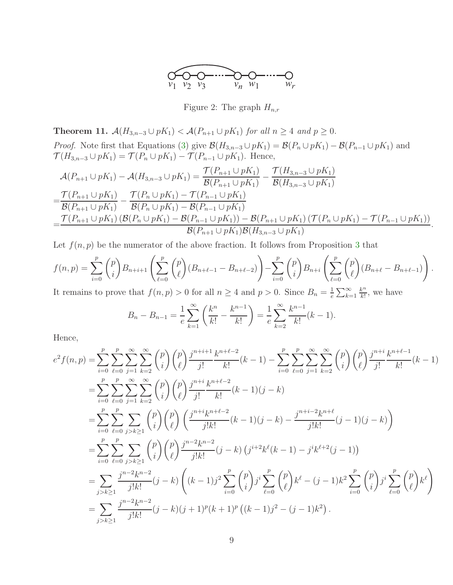

<span id="page-8-0"></span>Figure 2: The graph  $H_{n,r}$ 

<span id="page-8-1"></span>**Theorem 11.**  $\mathcal{A}(H_{3,n-3} \cup pK_1) < \mathcal{A}(P_{n+1} \cup pK_1)$  *for all*  $n ≥ 4$  *and*  $p ≥ 0$ *.* 

*Proof.* Note first that Equations [\(3\)](#page-3-2) give  $\mathcal{B}(H_{3,n-3} \cup pK_1) = \mathcal{B}(P_n \cup pK_1) - \mathcal{B}(P_{n-1} \cup pK_1)$  and  $\mathcal{T}(H_{3,n-3} \cup pK_1) = \mathcal{T}(P_n \cup pK_1) - \mathcal{T}(P_{n-1} \cup pK_1)$ . Hence,

$$
\mathcal{A}(P_{n+1} \cup pK_1) - \mathcal{A}(H_{3,n-3} \cup pK_1) = \frac{\mathcal{T}(P_{n+1} \cup pK_1)}{\mathcal{B}(P_{n+1} \cup pK_1)} - \frac{\mathcal{T}(H_{3,n-3} \cup pK_1)}{\mathcal{B}(H_{3,n-3} \cup pK_1)}
$$
\n
$$
= \frac{\mathcal{T}(P_{n+1} \cup pK_1)}{\mathcal{B}(P_{n+1} \cup pK_1)} - \frac{\mathcal{T}(P_n \cup pK_1) - \mathcal{T}(P_{n-1} \cup pK_1)}{\mathcal{B}(P_n \cup pK_1) - \mathcal{B}(P_{n-1} \cup pK_1)}
$$
\n
$$
= \frac{\mathcal{T}(P_{n+1} \cup pK_1) (\mathcal{B}(P_n \cup pK_1) - \mathcal{B}(P_{n-1} \cup pK_1)) - \mathcal{B}(P_{n+1} \cup pK_1) (\mathcal{T}(P_n \cup pK_1) - \mathcal{T}(P_{n-1} \cup pK_1))}{\mathcal{B}(P_{n+1} \cup pK_1)\mathcal{B}(H_{3,n-3} \cup pK_1)}
$$

.

Let  $f(n, p)$  be the numerator of the above fraction. It follows from Proposition [3](#page-4-1) that

$$
f(n,p) = \sum_{i=0}^{p} {p \choose i} B_{n+i+1} \left( \sum_{\ell=0}^{p} {p \choose \ell} (B_{n+\ell-1} - B_{n+\ell-2}) \right) - \sum_{i=0}^{p} {p \choose i} B_{n+i} \left( \sum_{\ell=0}^{p} {p \choose \ell} (B_{n+\ell} - B_{n+\ell-1}) \right).
$$
  
It remains to prove that  $f(n, p) > 0$  for all  $n > 4$  and  $n > 0$ . Since  $B_n = 1 \sum_{k=0}^{\infty} \frac{k^n}{k!}$  we have

It remains to prove that  $f(n, p) > 0$  for all  $n \geq 4$  and  $p > 0$ . Since  $B_n = \frac{1}{e}$  $\frac{1}{e}\sum_{k=1}^{\infty}$  $\frac{k^n}{k!}$ , we have

$$
B_n - B_{n-1} = \frac{1}{e} \sum_{k=1}^{\infty} \left( \frac{k^n}{k!} - \frac{k^{n-1}}{k!} \right) = \frac{1}{e} \sum_{k=2}^{\infty} \frac{k^{n-1}}{k!} (k-1).
$$

Hence,

$$
e^{2} f(n,p) = \sum_{i=0}^{p} \sum_{\ell=0}^{\infty} \sum_{j=1}^{\infty} \sum_{k=2}^{\infty} {p \choose i} {p \choose \ell} \frac{j^{n+i+1} k^{n+\ell-2}}{j!} (k-1) - \sum_{i=0}^{p} \sum_{\ell=0}^{\infty} \sum_{j=1}^{\infty} \sum_{k=2}^{\infty} {p \choose i} {p \choose \ell} \frac{j^{n+i} k^{n+\ell-1}}{j!} (k-1)
$$
  
\n
$$
= \sum_{i=0}^{p} \sum_{\ell=0}^{\infty} \sum_{j=1}^{\infty} \sum_{k=2}^{\infty} {p \choose i} {p \choose \ell} \frac{j^{n+i} k^{n+\ell-2}}{j!k!} (k-1) (j-k)
$$
  
\n
$$
= \sum_{i=0}^{p} \sum_{\ell=0}^{\infty} \sum_{j>k \geq 1} {p \choose i} {p \choose \ell} \frac{j^{n+i} k^{n+\ell-2}}{j!k!} (k-1) (j-k) - \frac{j^{n+i-2} k^{n+\ell}}{j!k!} (j-1) (j-k)
$$
  
\n
$$
= \sum_{i=0}^{p} \sum_{\ell=0}^{\infty} \sum_{j>k \geq 1} {p \choose i} {p \choose \ell} \frac{j^{n-2} k^{n-2}}{j!k!} (j-k) (j^{i+2} k^{\ell} (k-1) - j^{i} k^{\ell+2} (j-1))
$$
  
\n
$$
= \sum_{j>k \geq 1} \frac{j^{n-2} k^{n-2}}{j!k!} (j-k) (k-1) j^{2} \sum_{i=0}^{p} {p \choose i} j^{i} \sum_{\ell=0}^{\infty} {p \choose \ell} k^{\ell} - (j-1) k^{2} \sum_{i=0}^{\infty} {p \choose i} j^{i} \sum_{\ell=0}^{\infty} {p \choose \ell} k^{\ell}
$$
  
\n
$$
= \sum_{j>k \geq 1} \frac{j^{n-2} k^{n-2}}{j!k!} (j-k) (j+1)^{p} (k+1)^{p} (k-1) j^{2} - (j-1) k^{2
$$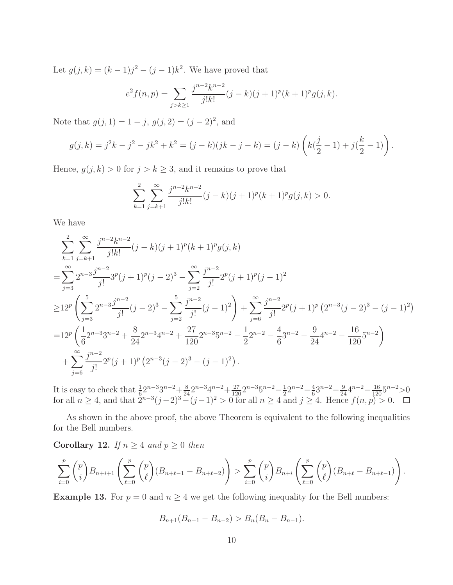Let  $g(j,k) = (k-1)j^2 - (j-1)k^2$ . We have proved that

$$
e^{2} f(n,p) = \sum_{j>k \geq 1} \frac{j^{n-2} k^{n-2}}{j! k!} (j-k)(j+1)^{p} (k+1)^{p} g(j,k).
$$

Note that  $g(j, 1) = 1 - j$ ,  $g(j, 2) = (j - 2)^2$ , and

$$
g(j,k) = j^2k - j^2 - jk^2 + k^2 = (j-k)(jk - j - k) = (j - k)\left(k(\frac{j}{2} - 1) + j(\frac{k}{2} - 1)\right).
$$

Hence,  $g(j, k) > 0$  for  $j > k \geq 3$ , and it remains to prove that

$$
\sum_{k=1}^{2} \sum_{j=k+1}^{\infty} \frac{j^{n-2}k^{n-2}}{j!k!} (j-k)(j+1)^p (k+1)^p g(j,k) > 0.
$$

We have

$$
\sum_{k=1}^{2} \sum_{j=k+1}^{\infty} \frac{j^{n-2}k^{n-2}}{j!k!} (j-k)(j+1)^p (k+1)^p g(j,k)
$$
\n
$$
= \sum_{j=3}^{\infty} 2^{n-3} \frac{j^{n-2}}{j!} 3^p (j+1)^p (j-2)^3 - \sum_{j=2}^{\infty} \frac{j^{n-2}}{j!} 2^p (j+1)^p (j-1)^2
$$
\n
$$
\geq 12^p \left( \sum_{j=3}^5 2^{n-3} \frac{j^{n-2}}{j!} (j-2)^3 - \sum_{j=2}^5 \frac{j^{n-2}}{j!} (j-1)^2 \right) + \sum_{j=6}^{\infty} \frac{j^{n-2}}{j!} 2^p (j+1)^p (2^{n-3} (j-2)^3 - (j-1)^2)
$$
\n
$$
= 12^p \left( \frac{1}{6} 2^{n-3} 3^{n-2} + \frac{8}{24} 2^{n-3} 4^{n-2} + \frac{27}{120} 2^{n-3} 5^{n-2} - \frac{1}{2} 2^{n-2} - \frac{4}{6} 3^{n-2} - \frac{9}{24} 4^{n-2} - \frac{16}{120} 5^{n-2} \right)
$$
\n
$$
+ \sum_{j=6}^{\infty} \frac{j^{n-2}}{j!} 2^p (j+1)^p (2^{n-3} (j-2)^3 - (j-1)^2).
$$

It is easy to check that  $\frac{1}{6}2^{n-3}3^{n-2} + \frac{8}{24}2^{n-3}4^{n-2} + \frac{27}{120}2^{n-3}5^{n-2} - \frac{1}{2}$  $rac{1}{2}2^{n-2}-\frac{4}{6}$  $\frac{4}{6}3^{n-2}-\frac{9}{24}4^{n-2}-\frac{16}{120}5^{n-2}$ >0 for all  $n \geq 4$ , and that  $2^{n-3}(j-2)^3-(j-1)^2 > 0$  for all  $n \geq 4$  and  $j \geq 4$ . Hence  $f(n, p) > 0$ .

As shown in the above proof, the above Theorem is equivalent to the following inequalities for the Bell numbers.

Corollary 12. *If*  $n \geq 4$  *and*  $p \geq 0$  *then* 

$$
\sum_{i=0}^{p} \binom{p}{i} B_{n+i+1} \left( \sum_{\ell=0}^{p} \binom{p}{\ell} (B_{n+\ell-1} - B_{n+\ell-2}) \right) > \sum_{i=0}^{p} \binom{p}{i} B_{n+i} \left( \sum_{\ell=0}^{p} \binom{p}{\ell} (B_{n+\ell} - B_{n+\ell-1}) \right).
$$

**Example 13.** For  $p = 0$  and  $n \ge 4$  we get the following inequality for the Bell numbers:

$$
B_{n+1}(B_{n-1}-B_{n-2}) > B_n(B_n-B_{n-1}).
$$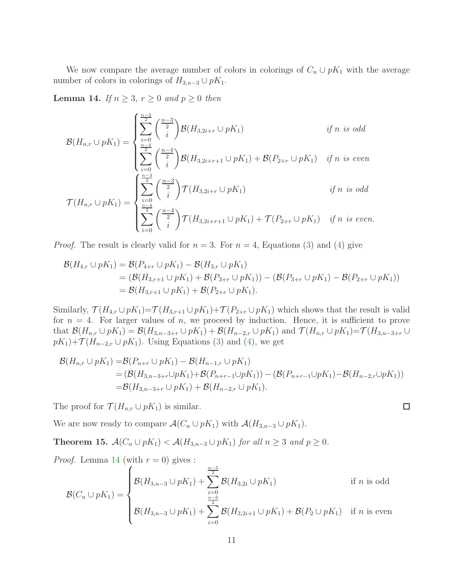We now compare the average number of colors in colorings of  $C_n \cup pK_1$  with the average number of colors in colorings of  $H_{3,n-3} \cup pK_1$ .

<span id="page-10-0"></span>Lemma 14. *If*  $n \geq 3$ ,  $r \geq 0$  *and*  $p \geq 0$  *then* 

$$
\mathcal{B}(H_{n,r} \cup pK_1) = \begin{cases} \sum_{i=0}^{n-3} \binom{n-3}{i} \mathcal{B}(H_{3,2i+r} \cup pK_1) & \text{if } n \text{ is odd} \\ \sum_{i=0}^{n-4} \binom{n-4}{i} \mathcal{B}(H_{3,2i+r+1} \cup pK_1) + \mathcal{B}(P_{2+r} \cup pK_1) & \text{if } n \text{ is even} \end{cases}
$$

$$
\mathcal{T}(H_{n,r} \cup pK_1) = \begin{cases} \sum_{i=0}^{n-3} \binom{n-3}{2} \mathcal{T}(H_{3,2i+r} \cup pK_1) & \text{if } n \text{ is odd} \\ \sum_{i=0}^{n-4} \binom{n-4}{i} \mathcal{T}(H_{3,2i+r+1} \cup pK_1) + \mathcal{T}(P_{2+r} \cup pK_1) & \text{if } n \text{ is even.} \end{cases}
$$

*Proof.* The result is clearly valid for  $n = 3$ . For  $n = 4$ , Equations [\(3\)](#page-3-2) and [\(4\)](#page-3-1) give

$$
\mathcal{B}(H_{4,r} \cup pK_1) = \mathcal{B}(P_{4+r} \cup pK_1) - \mathcal{B}(H_{3,r} \cup pK_1)
$$
  
=  $(\mathcal{B}(H_{3,r+1} \cup pK_1) + \mathcal{B}(P_{3+r} \cup pK_1)) - (\mathcal{B}(P_{3+r} \cup pK_1) - \mathcal{B}(P_{2+r} \cup pK_1))$   
=  $\mathcal{B}(H_{3,r+1} \cup pK_1) + \mathcal{B}(P_{2+r} \cup pK_1).$ 

Similarly,  $\mathcal{T}(H_{4,r} \cup pK_1) = \mathcal{T}(H_{3,r+1} \cup pK_1) + \mathcal{T}(P_{2+r} \cup pK_1)$  which shows that the result is valid for  $n = 4$ . For larger values of n, we proceed by induction. Hence, it is sufficient to prove that  $\mathcal{B}(H_{n,r} \cup pK_1) = \mathcal{B}(H_{3,n-3+r} \cup pK_1) + \mathcal{B}(H_{n-2,r} \cup pK_1)$  and  $\mathcal{T}(H_{n,r} \cup pK_1) = \mathcal{T}(H_{3,n-3+r} \cup pK_1)$  $pK_1$ )+ $\mathcal{T}(H_{n-2,r} \cup pK_1)$ . Using Equations [\(3\)](#page-3-2) and [\(4\)](#page-3-1), we get

$$
\mathcal{B}(H_{n,r} \cup pK_1) = \mathcal{B}(P_{n+r} \cup pK_1) - \mathcal{B}(H_{n-1,r} \cup pK_1)
$$
  
=  $(\mathcal{B}(H_{3,n-3+r} \cup pK_1) + \mathcal{B}(P_{n+r-1} \cup pK_1)) - (\mathcal{B}(P_{n+r-1} \cup pK_1) - \mathcal{B}(H_{n-2,r} \cup pK_1))$   
=  $\mathcal{B}(H_{3,n-3+r} \cup pK_1) + \mathcal{B}(H_{n-2,r} \cup pK_1).$ 

 $\Box$ 

The proof for  $\mathcal{T}(H_{n,r} \cup pK_1)$  is similar.

We are now ready to compare  $\mathcal{A}(C_n \cup pK_1)$  with  $\mathcal{A}(H_{3,n-3} \cup pK_1)$ .

<span id="page-10-1"></span>**Theorem 15.**  $\mathcal{A}(C_n \cup pK_1) < \mathcal{A}(H_{3,n-3} \cup pK_1)$  *for all*  $n \geq 3$  *and*  $p \geq 0$ *.* 

*Proof.* Lemma 14 (with 
$$
r = 0
$$
) gives :  
\n
$$
\mathcal{B}(C_n \cup pK_1) = \begin{cases}\n\mathcal{B}(H_{3,n-3} \cup pK_1) + \sum_{i=0}^{\frac{n-5}{2}} \mathcal{B}(H_{3,2i} \cup pK_1) & \text{if } n \text{ is odd} \\
\mathcal{B}(H_{3,n-3} \cup pK_1) + \sum_{i=0}^{\frac{n-6}{2}} \mathcal{B}(H_{3,2i+1} \cup pK_1) + \mathcal{B}(P_2 \cup pK_1) & \text{if } n \text{ is even}\n\end{cases}
$$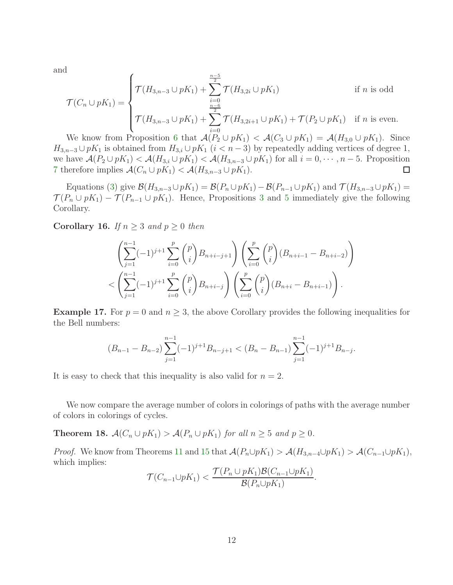and

$$
\mathcal{T}(C_n \cup pK_1) = \begin{cases}\n\mathcal{T}(H_{3,n-3} \cup pK_1) + \sum_{i=0}^{\frac{n-5}{2}} \mathcal{T}(H_{3,2i} \cup pK_1) & \text{if } n \text{ is odd} \\
\mathcal{T}(H_{3,n-3} \cup pK_1) + \sum_{i=0}^{\frac{n-6}{2}} \mathcal{T}(H_{3,2i+1} \cup pK_1) + \mathcal{T}(P_2 \cup pK_1) & \text{if } n \text{ is even.} \\
\end{cases}
$$

We know from Proposition [6](#page-5-0) that  $\mathcal{A}(P_2 \cup pK_1) < \mathcal{A}(C_3 \cup pK_1) = \mathcal{A}(H_{3,0} \cup pK_1)$ . Since  $H_{3,n-3} \cup pK_1$  is obtained from  $H_{3,i} \cup pK_1$   $(i < n-3)$  by repeatedly adding vertices of degree 1, we have  $\mathcal{A}(P_2 \cup pK_1) < \mathcal{A}(H_{3,i} \cup pK_1) < \mathcal{A}(H_{3,n-3} \cup pK_1)$  for all  $i = 0, \dots, n-5$ . Proposition [7](#page-6-1) therefore implies  $\mathcal{A}(C_n \cup pK_1) < \mathcal{A}(H_{3,n-3} \cup pK_1)$ .  $\Box$ 

Equations [\(3\)](#page-3-2) give  $\mathcal{B}(H_{3,n-3}\cup pK_1)=\mathcal{B}(P_n\cup pK_1)-\mathcal{B}(P_{n-1}\cup pK_1)$  and  $\mathcal{T}(H_{3,n-3}\cup pK_1)=$  $\mathcal{T}(P_n \cup pK_1) - \mathcal{T}(P_{n-1} \cup pK_1)$ . Hence, Propositions [3](#page-4-1) and [5](#page-4-2) immediately give the following Corollary.

Corollary 16. *If*  $n \geq 3$  *and*  $p \geq 0$  *then* 

$$
\left(\sum_{j=1}^{n-1}(-1)^{j+1}\sum_{i=0}^p\binom{p}{i}B_{n+i-j+1}\right)\left(\sum_{i=0}^p\binom{p}{i}(B_{n+i-1}-B_{n+i-2})\right)
$$
  

$$
< \left(\sum_{j=1}^{n-1}(-1)^{j+1}\sum_{i=0}^p\binom{p}{i}B_{n+i-j}\right)\left(\sum_{i=0}^p\binom{p}{i}(B_{n+i}-B_{n+i-1})\right).
$$

**Example 17.** For  $p = 0$  and  $n \geq 3$ , the above Corollary provides the following inequalities for the Bell numbers:

$$
(B_{n-1}-B_{n-2})\sum_{j=1}^{n-1}(-1)^{j+1}B_{n-j+1} < (B_n-B_{n-1})\sum_{j=1}^{n-1}(-1)^{j+1}B_{n-j}.
$$

It is easy to check that this inequality is also valid for  $n = 2$ .

We now compare the average number of colors in colorings of paths with the average number of colors in colorings of cycles.

<span id="page-11-0"></span>**Theorem 18.**  $\mathcal{A}(C_n \cup pK_1) > \mathcal{A}(P_n \cup pK_1)$  *for all*  $n \geq 5$  *and*  $p \geq 0$ *.* 

*Proof.* We know from Theorems [11](#page-8-1) and [15](#page-10-1) that  $\mathcal{A}(P_n \cup pK_1) > \mathcal{A}(H_{3,n-4} \cup pK_1) > \mathcal{A}(C_{n-1} \cup pK_1)$ , which implies:

$$
\mathcal{T}(C_{n-1}\cup pK_1)<\frac{\mathcal{T}(P_n\cup pK_1)\mathcal{B}(C_{n-1}\cup pK_1)}{\mathcal{B}(P_n\cup pK_1)}.
$$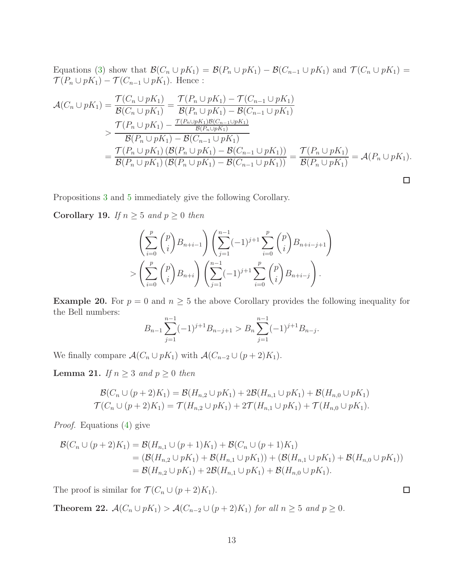Equations [\(3\)](#page-3-2) show that  $\mathcal{B}(C_n \cup pK_1) = \mathcal{B}(P_n \cup pK_1) - \mathcal{B}(C_{n-1} \cup pK_1)$  and  $\mathcal{T}(C_n \cup pK_1) =$  $\mathcal{T}(P_n \cup pK_1) - \mathcal{T}(C_{n-1} \cup pK_1)$  . Hence :

$$
\mathcal{A}(C_n \cup pK_1) = \frac{\mathcal{T}(C_n \cup pK_1)}{\mathcal{B}(C_n \cup pK_1)} = \frac{\mathcal{T}(P_n \cup pK_1) - \mathcal{T}(C_{n-1} \cup pK_1)}{\mathcal{B}(P_n \cup pK_1) - \mathcal{B}(C_{n-1} \cup pK_1)}
$$
\n
$$
= \frac{\mathcal{T}(P_n \cup pK_1) - \frac{\mathcal{T}(P_n \cup pK_1)\mathcal{B}(C_{n-1} \cup pK_1)}{\mathcal{B}(P_n \cup pK_1) - \mathcal{B}(C_{n-1} \cup pK_1)}}{\mathcal{T}(P_n \cup pK_1) \left(\mathcal{B}(P_n \cup pK_1) - \mathcal{B}(C_{n-1} \cup pK_1)\right)} = \frac{\mathcal{T}(P_n \cup pK_1)}{\mathcal{B}(P_n \cup pK_1)} = \mathcal{A}(P_n \cup pK_1).
$$
\n
$$
\Box
$$

Propositions [3](#page-4-1) and [5](#page-4-2) immediately give the following Corollary.

Corollary 19. *If*  $n \geq 5$  *and*  $p \geq 0$  *then* 

$$
\left(\sum_{i=0}^{p} \binom{p}{i} B_{n+i-1}\right) \left(\sum_{j=1}^{n-1} (-1)^{j+1} \sum_{i=0}^{p} \binom{p}{i} B_{n+i-j+1}\right)
$$
  
> 
$$
\left(\sum_{i=0}^{p} \binom{p}{i} B_{n+i}\right) \left(\sum_{j=1}^{n-1} (-1)^{j+1} \sum_{i=0}^{p} \binom{p}{i} B_{n+i-j}\right).
$$

**Example 20.** For  $p = 0$  and  $n \geq 5$  the above Corollary provides the following inequality for the Bell numbers:

$$
B_{n-1} \sum_{j=1}^{n-1} (-1)^{j+1} B_{n-j+1} > B_n \sum_{j=1}^{n-1} (-1)^{j+1} B_{n-j}.
$$

We finally compare  $\mathcal{A}(C_n \cup pK_1)$  with  $\mathcal{A}(C_{n-2} \cup (p+2)K_1)$ .

<span id="page-12-0"></span>**Lemma 21.** *If*  $n \geq 3$  *and*  $p \geq 0$  *then* 

$$
\mathcal{B}(C_n \cup (p+2)K_1) = \mathcal{B}(H_{n,2} \cup pK_1) + 2\mathcal{B}(H_{n,1} \cup pK_1) + \mathcal{B}(H_{n,0} \cup pK_1)
$$
  

$$
\mathcal{T}(C_n \cup (p+2)K_1) = \mathcal{T}(H_{n,2} \cup pK_1) + 2\mathcal{T}(H_{n,1} \cup pK_1) + \mathcal{T}(H_{n,0} \cup pK_1).
$$

*Proof.* Equations [\(4\)](#page-3-1) give

$$
\mathcal{B}(C_n \cup (p+2)K_1) = \mathcal{B}(H_{n,1} \cup (p+1)K_1) + \mathcal{B}(C_n \cup (p+1)K_1)
$$
  
=  $(\mathcal{B}(H_{n,2} \cup pK_1) + \mathcal{B}(H_{n,1} \cup pK_1)) + (\mathcal{B}(H_{n,1} \cup pK_1) + \mathcal{B}(H_{n,0} \cup pK_1))$   
=  $\mathcal{B}(H_{n,2} \cup pK_1) + 2\mathcal{B}(H_{n,1} \cup pK_1) + \mathcal{B}(H_{n,0} \cup pK_1).$ 

The proof is similar for  $\mathcal{T}(C_n \cup (p+2)K_1)$ .

**Theorem 22.**  $\mathcal{A}(C_n \cup pK_1) > \mathcal{A}(C_{n-2} \cup (p+2)K_1)$  *for all*  $n \ge 5$  *and*  $p \ge 0$ *.* 

 $\Box$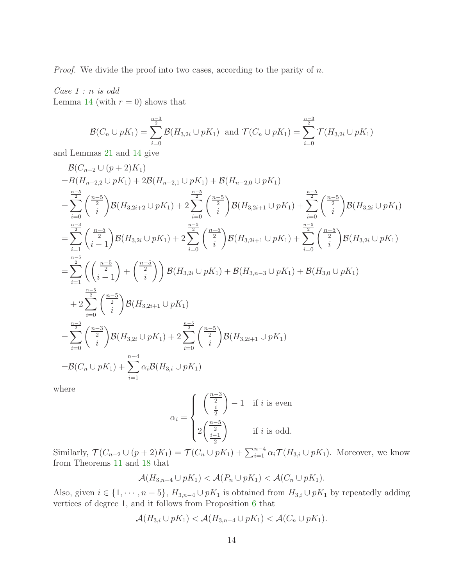*Proof.* We divide the proof into two cases, according to the parity of n.

*Case 1 :* n *is odd* Lemma [14](#page-10-0) (with  $r = 0$ ) shows that

$$
\mathcal{B}(C_n \cup pK_1) = \sum_{i=0}^{\frac{n-3}{2}} \mathcal{B}(H_{3,2i} \cup pK_1) \text{ and } \mathcal{T}(C_n \cup pK_1) = \sum_{i=0}^{\frac{n-3}{2}} \mathcal{T}(H_{3,2i} \cup pK_1)
$$

and Lemmas [21](#page-12-0) and [14](#page-10-0) give

$$
\begin{split} &\mathcal{B}(C_{n-2}\cup (p+2)K_{1})\\ =& B(H_{n-2,2}\cup pK_{1})+2\mathcal{B}(H_{n-2,1}\cup pK_{1})+\mathcal{B}(H_{n-2,0}\cup pK_{1})\\ =&\sum_{i=0}^{\frac{n-5}{2}}\binom{\frac{n-5}{2}}{i}\mathcal{B}(H_{3,2i+2}\cup pK_{1})+2\sum_{i=0}^{\frac{n-5}{2}}\binom{\frac{n-5}{2}}{i}\mathcal{B}(H_{3,2i+1}\cup pK_{1})+\sum_{i=0}^{\frac{n-5}{2}}\binom{\frac{n-5}{2}}{i}\mathcal{B}(H_{3,2i}\cup pK_{1})\\ =&\sum_{i=1}^{\frac{n-3}{2}}\binom{\frac{n-5}{i-1}}{i}\mathcal{B}(H_{3,2i}\cup pK_{1})+2\sum_{i=0}^{\frac{n-5}{2}}\binom{\frac{n-5}{2}}{i}\mathcal{B}(H_{3,2i+1}\cup pK_{1})+\sum_{i=0}^{\frac{n-5}{2}}\binom{\frac{n-5}{2}}{i}\mathcal{B}(H_{3,2i}\cup pK_{1})\\ =&\sum_{i=1}^{\frac{n-5}{2}}\left(\binom{\frac{n-5}{2}}{i-1}+\binom{\frac{n-5}{2}}{i}\right)\mathcal{B}(H_{3,2i}\cup pK_{1})+\mathcal{B}(H_{3,n-3}\cup pK_{1})+\mathcal{B}(H_{3,0}\cup pK_{1})\\ &+2\sum_{i=0}^{\frac{n-5}{2}}\binom{\frac{n-5}{2}}{i}\mathcal{B}(H_{3,2i+1}\cup pK_{1})\\ =&\sum_{i=0}^{\frac{n-3}{2}}\binom{\frac{n-3}{2}}{i}\mathcal{B}(H_{3,2i}\cup pK_{1})+2\sum_{i=0}^{\frac{n-5}{2}}\binom{\frac{n-5}{2}}{i}\mathcal{B}(H_{3,2i+1}\cup pK_{1})\\ =&\mathcal{B}(C_{n}\cup pK_{1})+\sum_{i=1}^{n-4}\alpha_{i}\mathcal{B}(H_{3,i}\cup pK_{1})\end{split}
$$

where

$$
\alpha_i = \begin{cases} \left(\frac{\frac{n-3}{2}}{\frac{i}{2}}\right) - 1 & \text{if } i \text{ is even} \\ 2\left(\frac{\frac{n-5}{2}}{\frac{i-1}{2}}\right) & \text{if } i \text{ is odd.} \end{cases}
$$

Similarly,  $\mathcal{T}(C_{n-2}\cup (p+2)K_1)=\mathcal{T}(C_n\cup pK_1)+\sum_{i=1}^{n-4}\alpha_i\mathcal{T}(H_{3,i}\cup pK_1)$ . Moreover, we know from Theorems [11](#page-8-1) and [18](#page-11-0) that

$$
\mathcal{A}(H_{3,n-4}\cup pK_1)<\mathcal{A}(P_n\cup pK_1)<\mathcal{A}(C_n\cup pK_1).
$$

Also, given  $i \in \{1, \dots, n-5\}$ ,  $H_{3,n-4} \cup pK_1$  is obtained from  $H_{3,i} \cup pK_1$  by repeatedly adding vertices of degree 1, and it follows from Proposition [6](#page-5-0) that

$$
\mathcal{A}(H_{3,i}\cup pK_1)<\mathcal{A}(H_{3,n-4}\cup pK_1)<\mathcal{A}(C_n\cup pK_1).
$$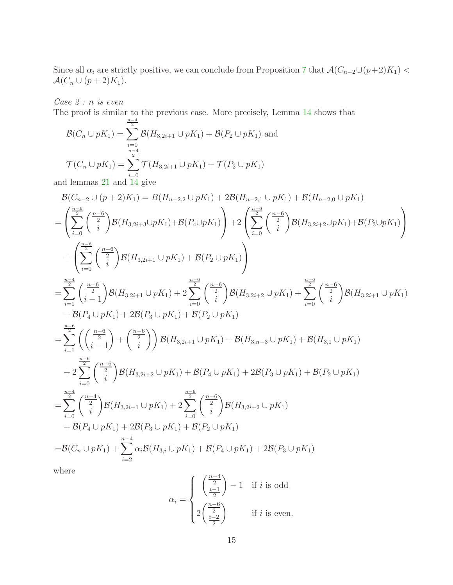Since all  $\alpha_i$  are strictly positive, we can conclude from Proposition [7](#page-6-1) that  $\mathcal{A}(C_{n-2}\cup (p+2)K_1)$  <  $\mathcal{A}(C_n \cup (p+2)K_1).$ 

*Case 2 :* n *is even*

The proof is similar to the previous case. More precisely, Lemma 14 shows that  
\n
$$
\mathcal{B}(C_n \cup pK_1) = \sum_{i=0}^{\frac{n-4}{2}} \mathcal{B}(H_{3,2i+1} \cup pK_1) + \mathcal{B}(P_2 \cup pK_1)
$$
 and  
\n
$$
\mathcal{T}(C_n \cup pK_1) = \sum_{i=0}^{\frac{n-4}{2}} \mathcal{T}(H_{3,2i+1} \cup pK_1) + \mathcal{T}(P_2 \cup pK_1)
$$

and lemmas [21](#page-12-0) and  $i=0$ <br>and [14](#page-10-0) give

$$
\begin{split} &\mathcal{B}(C_{n-2}\cup (p+2)K_{1})=\mathcal{B}(H_{n-2,2}\cup pK_{1})+2\mathcal{B}(H_{n-2,1}\cup pK_{1})+\mathcal{B}(H_{n-2,0}\cup pK_{1})\\ &=\left(\sum_{i=0}^{\frac{n-6}{2}}\binom{\frac{n-6}{2}}{i}\mathcal{B}(H_{3,2i+3}\cup pK_{1})+\mathcal{B}(P_{4}\cup pK_{1})\right)+2\left(\sum_{i=0}^{\frac{n-6}{2}}\binom{\frac{n-6}{2}}{i}\mathcal{B}(H_{3,2i+2}\cup pK_{1})+\mathcal{B}(P_{3}\cup pK_{1})\right)\\ &+\left(\sum_{i=0}^{\frac{n-6}{2}}\binom{\frac{n-6}{2}}{i}\mathcal{B}(H_{3,2i+1}\cup pK_{1})+\mathcal{B}(P_{2}\cup pK_{1})\right)\\ &=\sum_{i=1}^{\frac{n-4}{2}}\binom{\frac{n-6}{2}}{i-1}\mathcal{B}(H_{3,2i+1}\cup pK_{1})+2\sum_{i=0}^{\frac{n-6}{2}}\binom{\frac{n-6}{2}}{i}\mathcal{B}(H_{3,2i+2}\cup pK_{1})+\sum_{i=0}^{\frac{n-6}{2}}\binom{\frac{n-6}{2}}{i}\mathcal{B}(H_{3,2i+1}\cup pK_{1})\\ &+\mathcal{B}(P_{4}\cup pK_{1})+2\mathcal{B}(P_{3}\cup pK_{1})+\mathcal{B}(P_{2}\cup pK_{1})\\ &=\sum_{i=1}^{\frac{n-6}{2}}\left(\binom{\frac{n-6}{2}}{i}\right)+\binom{\frac{n-6}{2}}{i}\right)\mathcal{B}(H_{3,2i+1}\cup pK_{1})+\mathcal{B}(H_{3,n-3}\cup pK_{1})+\mathcal{B}(H_{3,1}\cup pK_{1})\\ &+2\sum_{i=0}^{\frac{n-6}{2}}\binom{\frac{n-6}{2}}{i}\mathcal{B}(H_{3,2i+2}\cup pK_{1})+\mathcal{B}(P_{4}\cup pK_{1})+2\mathcal{B}(P_{3}\cup pK_{1})+\mathcal{B}(P_{2}\cup pK_{1})\\ &=\sum_{i=0}^{\frac{n-4}{2}}\binom{\frac{n-4}{2}}{i
$$

where

$$
\alpha_i = \begin{cases} \left(\frac{\frac{n-4}{2}}{2}\right) - 1 & \text{if } i \text{ is odd} \\ 2\left(\frac{\frac{n-6}{2}}{2}\right) & \text{if } i \text{ is even.} \end{cases}
$$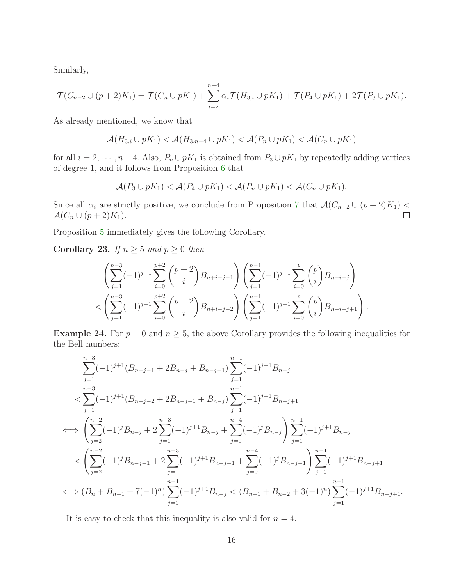Similarly,

$$
\mathcal{T}(C_{n-2}\cup (p+2)K_1)=\mathcal{T}(C_n\cup pK_1)+\sum_{i=2}^{n-4}\alpha_i\mathcal{T}(H_{3,i}\cup pK_1)+\mathcal{T}(P_4\cup pK_1)+2\mathcal{T}(P_3\cup pK_1).
$$

As already mentioned, we know that

$$
\mathcal{A}(H_{3,i}\cup pK_1)<\mathcal{A}(H_{3,n-4}\cup pK_1)<\mathcal{A}(P_n\cup pK_1)<\mathcal{A}(C_n\cup pK_1)
$$

for all  $i = 2, \dots, n-4$ . Also,  $P_n \cup pK_1$  is obtained from  $P_3 \cup pK_1$  by repeatedly adding vertices of degree 1, and it follows from Proposition [6](#page-5-0) that

$$
\mathcal{A}(P_3 \cup pK_1) < \mathcal{A}(P_4 \cup pK_1) < \mathcal{A}(P_n \cup pK_1) < \mathcal{A}(C_n \cup pK_1).
$$

Since all  $\alpha_i$  are strictly positive, we conclude from Proposition [7](#page-6-1) that  $\mathcal{A}(C_{n-2} \cup (p+2)K_1)$  $\mathcal{A}(C_n \cup (p+2)K_1).$  $\Box$ 

Proposition [5](#page-4-2) immediately gives the following Corollary.

Corollary 23. *If*  $n \geq 5$  *and*  $p \geq 0$  *then* 

$$
\left(\sum_{j=1}^{n-3}(-1)^{j+1}\sum_{i=0}^{p+2}{p+2 \choose i}B_{n+i-j-1}\right)\left(\sum_{j=1}^{n-1}(-1)^{j+1}\sum_{i=0}^{p}{p \choose i}B_{n+i-j}\right)
$$

$$
< \left(\sum_{j=1}^{n-3}(-1)^{j+1}\sum_{i=0}^{p+2}{p+2 \choose i}B_{n+i-j-2}\right)\left(\sum_{j=1}^{n-1}(-1)^{j+1}\sum_{i=0}^{p}{p \choose i}B_{n+i-j+1}\right).
$$

**Example 24.** For  $p = 0$  and  $n \geq 5$ , the above Corollary provides the following inequalities for the Bell numbers:

$$
\sum_{j=1}^{n-3} (-1)^{j+1} (B_{n-j-1} + 2B_{n-j} + B_{n-j+1}) \sum_{j=1}^{n-1} (-1)^{j+1} B_{n-j}
$$
\n
$$
< \sum_{j=1}^{n-3} (-1)^{j+1} (B_{n-j-2} + 2B_{n-j-1} + B_{n-j}) \sum_{j=1}^{n-1} (-1)^{j+1} B_{n-j+1}
$$
\n
$$
\iff \left( \sum_{j=2}^{n-2} (-1)^j B_{n-j} + 2 \sum_{j=1}^{n-3} (-1)^{j+1} B_{n-j} + \sum_{j=0}^{n-4} (-1)^j B_{n-j} \right) \sum_{j=1}^{n-1} (-1)^{j+1} B_{n-j}
$$
\n
$$
< \left( \sum_{j=2}^{n-2} (-1)^j B_{n-j-1} + 2 \sum_{j=1}^{n-3} (-1)^{j+1} B_{n-j-1} + \sum_{j=0}^{n-4} (-1)^j B_{n-j-1} \right) \sum_{j=1}^{n-1} (-1)^{j+1} B_{n-j+1}
$$
\n
$$
\iff (B_n + B_{n-1} + 7(-1)^n) \sum_{j=1}^{n-1} (-1)^{j+1} B_{n-j} < (B_{n-1} + B_{n-2} + 3(-1)^n) \sum_{j=1}^{n-1} (-1)^{j+1} B_{n-j+1}.
$$

It is easy to check that this inequality is also valid for  $n = 4$ .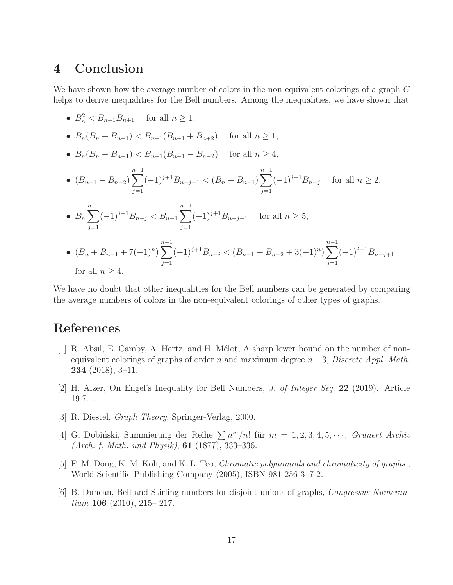#### 4 Conclusion

We have shown how the average number of colors in the non-equivalent colorings of a graph G helps to derive inequalities for the Bell numbers. Among the inequalities, we have shown that

- $B_n^2 < B_{n-1}B_{n+1}$  for all  $n \ge 1$ ,
- $B_n(B_n + B_{n+1}) < B_{n-1}(B_{n+1} + B_{n+2})$  for all  $n \ge 1$ ,
- $B_n(B_n B_{n-1}) < B_{n+1}(B_{n-1} B_{n-2})$  for all  $n \ge 4$ ,
- $(B_{n-1} B_{n-2}) \sum_{n=1}^{n-1}$  $j=1$  $(-1)^{j+1}B_{n-j+1} < (B_n - B_{n-1})\sum_{n=1}^{n-1}$  $j=1$  $(-1)^{j+1}B_{n-j}$  for all  $n \geq 2$ ,
- $B_n \sum_{n=1}^{n-1}$  $j=1$  $(-1)^{j+1}B_{n-j} < B_{n-1}\sum_{j=1}^{n-1}$  $j=1$  $(-1)^{j+1}B_{n-j+1}$  for all  $n \ge 5$ ,

• 
$$
(B_n + B_{n-1} + 7(-1)^n) \sum_{j=1}^{n-1} (-1)^{j+1} B_{n-j} < (B_{n-1} + B_{n-2} + 3(-1)^n) \sum_{j=1}^{n-1} (-1)^{j+1} B_{n-j+1}
$$
  
for all  $n \ge 4$ .

We have no doubt that other inequalities for the Bell numbers can be generated by comparing the average numbers of colors in the non-equivalent colorings of other types of graphs.

### <span id="page-16-1"></span>References

- [1] R. Absil, E. Camby, A. Hertz, and H. Mélot, A sharp lower bound on the number of nonequivalent colorings of graphs of order n and maximum degree n−3, *Discrete Appl. Math.* 234 (2018), 3–11.
- <span id="page-16-5"></span><span id="page-16-3"></span>[2] H. Alzer, On Engel's Inequality for Bell Numbers, *J. of Integer Seq.* 22 (2019). Article 19.7.1.
- <span id="page-16-0"></span>[3] R. Diestel, *Graph Theory*, Springer-Verlag, 2000.
- [4] G. Dobiński, Summierung der Reihe  $\sum n^m/n!$  für  $m = 1, 2, 3, 4, 5, \cdots$ , *Grunert Archiv (Arch. f. Math. und Physik)*, 61 (1877), 333–336.
- <span id="page-16-4"></span>[5] F. M. Dong, K. M. Koh, and K. L. Teo, *Chromatic polynomials and chromaticity of graphs.*, World Scientific Publishing Company (2005), ISBN 981-256-317-2.
- <span id="page-16-2"></span>[6] B. Duncan, Bell and Stirling numbers for disjoint unions of graphs, *Congressus Numerantium* 106 (2010), 215– 217.